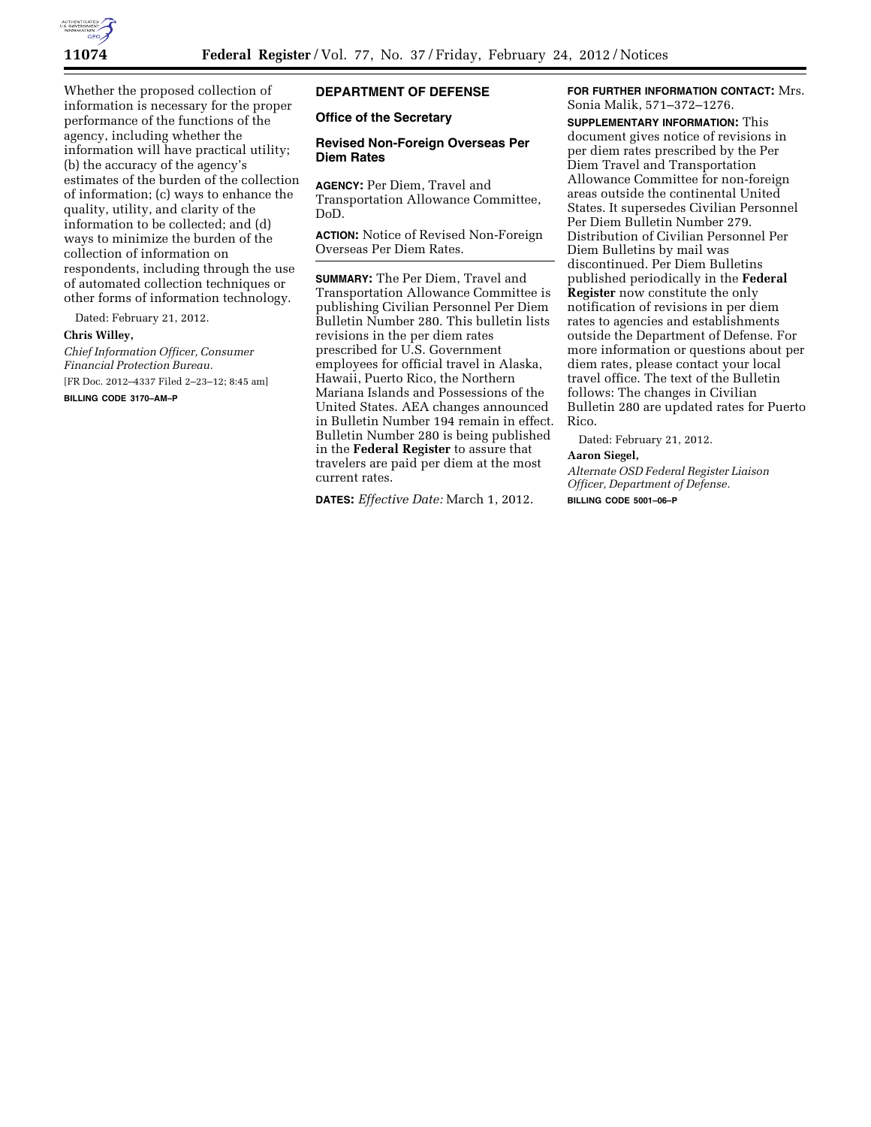

Whether the proposed collection of information is necessary for the proper performance of the functions of the agency, including whether the information will have practical utility; (b) the accuracy of the agency's estimates of the burden of the collection of information; (c) ways to enhance the quality, utility, and clarity of the information to be collected; and (d) ways to minimize the burden of the collection of information on respondents, including through the use of automated collection techniques or other forms of information technology.

Dated: February 21, 2012.

## **Chris Willey,**

*Chief Information Officer, Consumer Financial Protection Bureau.*  [FR Doc. 2012–4337 Filed 2–23–12; 8:45 am]

**BILLING CODE 3170–AM–P** 

# **DEPARTMENT OF DEFENSE**

### **Office of the Secretary**

### **Revised Non-Foreign Overseas Per Diem Rates**

**AGENCY:** Per Diem, Travel and Transportation Allowance Committee, DoD.

**ACTION:** Notice of Revised Non-Foreign Overseas Per Diem Rates.

**SUMMARY:** The Per Diem, Travel and Transportation Allowance Committee is publishing Civilian Personnel Per Diem Bulletin Number 280. This bulletin lists revisions in the per diem rates prescribed for U.S. Government employees for official travel in Alaska, Hawaii, Puerto Rico, the Northern Mariana Islands and Possessions of the United States. AEA changes announced in Bulletin Number 194 remain in effect. Bulletin Number 280 is being published in the **Federal Register** to assure that travelers are paid per diem at the most current rates.

**DATES:** *Effective Date:* March 1, 2012.

### **FOR FURTHER INFORMATION CONTACT:** Mrs. Sonia Malik, 571–372–1276.

**SUPPLEMENTARY INFORMATION:** This document gives notice of revisions in per diem rates prescribed by the Per Diem Travel and Transportation Allowance Committee for non-foreign areas outside the continental United States. It supersedes Civilian Personnel Per Diem Bulletin Number 279. Distribution of Civilian Personnel Per Diem Bulletins by mail was discontinued. Per Diem Bulletins published periodically in the **Federal Register** now constitute the only notification of revisions in per diem rates to agencies and establishments outside the Department of Defense. For more information or questions about per diem rates, please contact your local travel office. The text of the Bulletin follows: The changes in Civilian Bulletin 280 are updated rates for Puerto Rico.

Dated: February 21, 2012.

### **Aaron Siegel,**

*Alternate OSD Federal Register Liaison Officer, Department of Defense.*  **BILLING CODE 5001–06–P**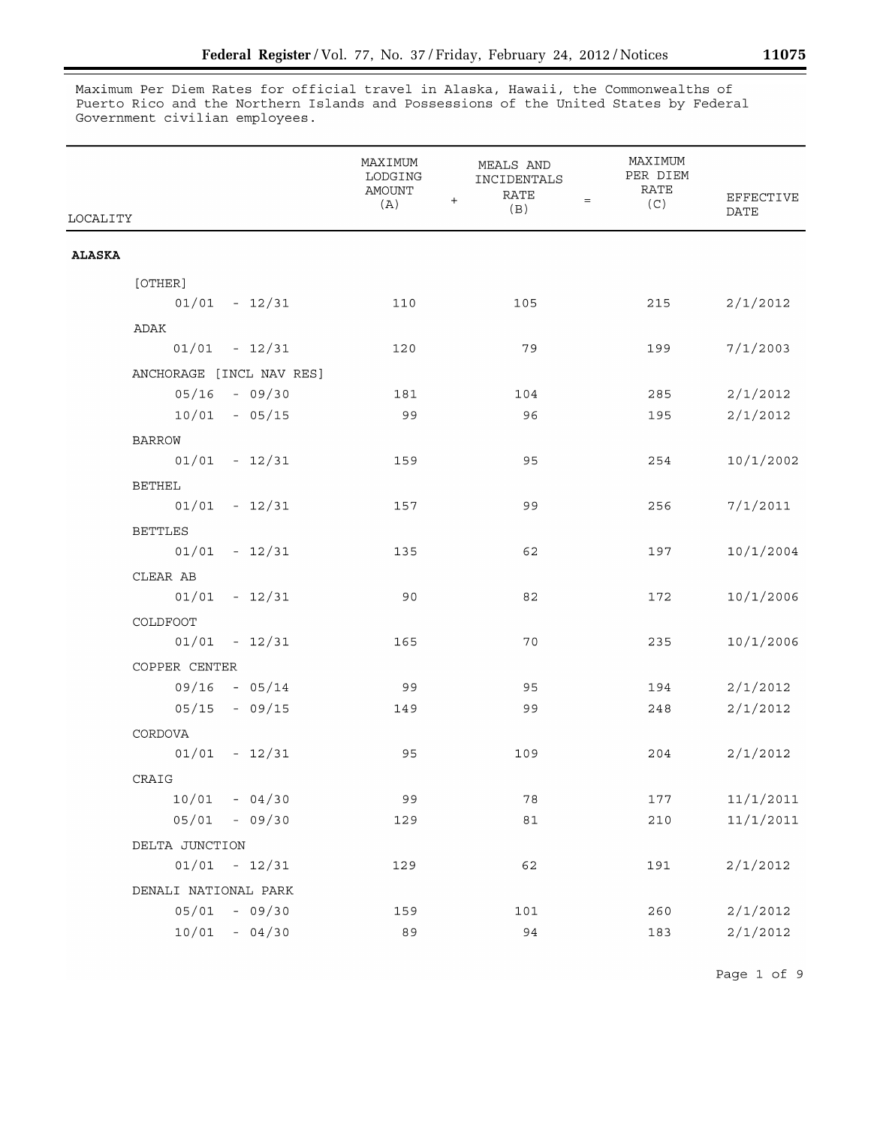Maximum Per Diem Rates for official travel in Alaska, Hawaii, the Commonwealths of Puerto Rico and the Northern Islands and Possessions of the United States by Federal Government civilian employees.

| LOCALITY                 | MAXIMUM<br>LODGING<br><b>AMOUNT</b><br>(A) | <b>MEALS AND</b><br>INCIDENTALS<br><b>RATE</b><br>$+$<br>$=$<br>(B) | MAXIMUM<br>PER DIEM<br>RATE<br>(C) | EFFECTIVE<br><b>DATE</b> |
|--------------------------|--------------------------------------------|---------------------------------------------------------------------|------------------------------------|--------------------------|
| <b>ALASKA</b>            |                                            |                                                                     |                                    |                          |
| [OTHER]                  |                                            |                                                                     |                                    |                          |
| $01/01 - 12/31$          | 110                                        | 105                                                                 | 215                                | 2/1/2012                 |
| ADAK                     |                                            |                                                                     |                                    |                          |
| $01/01 - 12/31$          | 120                                        | 79                                                                  | 199                                | 7/1/2003                 |
| ANCHORAGE [INCL NAV RES] |                                            |                                                                     |                                    |                          |
| $05/16 - 09/30$          | 181                                        | 104                                                                 | 285                                | 2/1/2012                 |
| $10/01 - 05/15$          | 99                                         | 96                                                                  | 195                                | 2/1/2012                 |
| <b>BARROW</b>            |                                            |                                                                     |                                    |                          |
| $01/01 - 12/31$          | 159                                        | 95                                                                  | 254                                | 10/1/2002                |
| <b>BETHEL</b>            |                                            |                                                                     |                                    |                          |
| $01/01 - 12/31$          | 157                                        | 99                                                                  | 256                                | 7/1/2011                 |
| <b>BETTLES</b>           |                                            |                                                                     |                                    |                          |
| $01/01 - 12/31$          | 135                                        | 62                                                                  | 197                                | 10/1/2004                |
| CLEAR AB                 |                                            |                                                                     |                                    |                          |
| $01/01 - 12/31$          | 90                                         | 82                                                                  | 172                                | 10/1/2006                |
| COLDFOOT                 |                                            |                                                                     |                                    |                          |
| $01/01 - 12/31$          | 165                                        | 70                                                                  | 235                                | 10/1/2006                |
| COPPER CENTER            |                                            |                                                                     |                                    |                          |
| $09/16 - 05/14$          | 99                                         | 95                                                                  | 194                                | 2/1/2012                 |
| $05/15 - 09/15$          | 149                                        | 99                                                                  | 248                                | 2/1/2012                 |
| CORDOVA                  |                                            |                                                                     |                                    |                          |
| $01/01 - 12/31$          | 95                                         | 109                                                                 | 204                                | 2/1/2012                 |
| CRAIG                    |                                            |                                                                     |                                    |                          |
| $10/01 - 04/30$          | 99                                         | 78                                                                  | 177                                | 11/1/2011                |
| $05/01 - 09/30$          | 129                                        | 81                                                                  | 210                                | 11/1/2011                |
| DELTA JUNCTION           |                                            |                                                                     |                                    |                          |
| $01/01 - 12/31$          | 129                                        | 62                                                                  | 191                                | 2/1/2012                 |
| DENALI NATIONAL PARK     |                                            |                                                                     |                                    |                          |
| $05/01 - 09/30$          | 159                                        | 101                                                                 | 260                                | 2/1/2012                 |
| $10/01 - 04/30$          | 89                                         | 94                                                                  | 183                                | 2/1/2012                 |

Page 1 of 9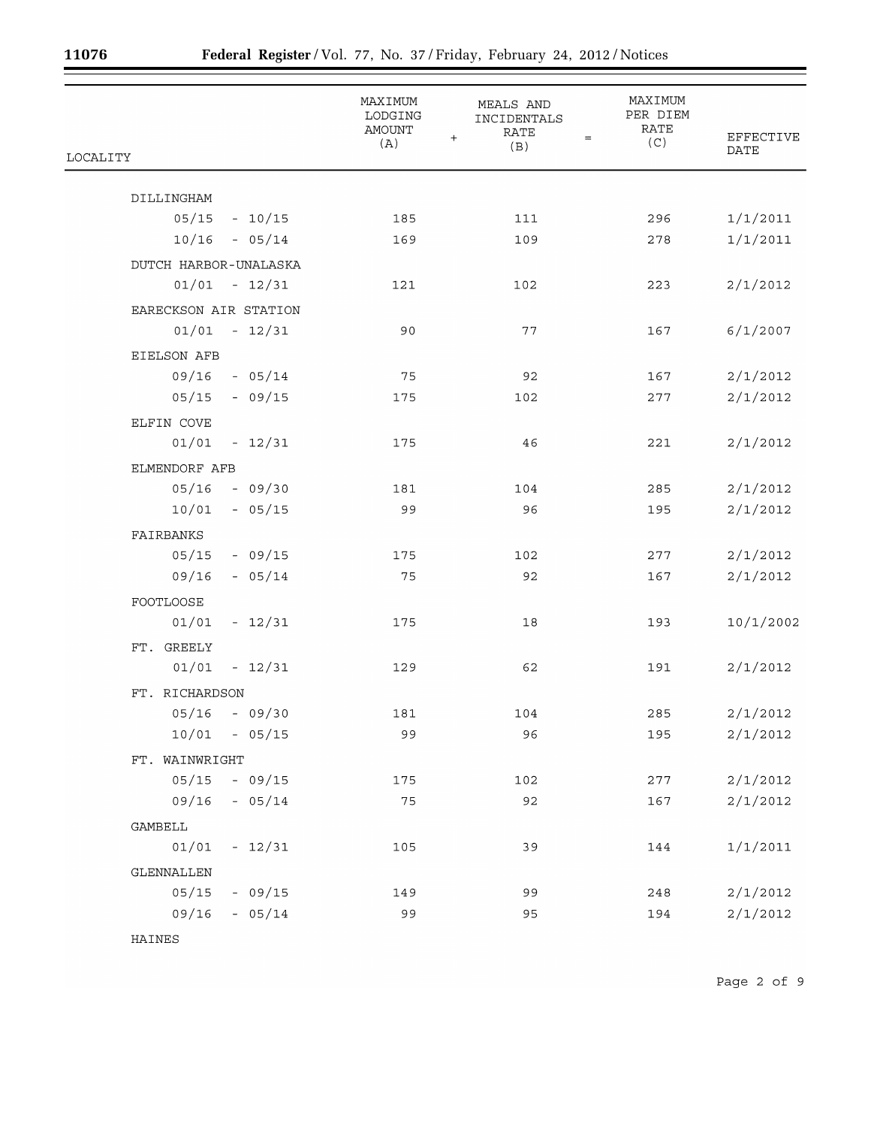E

|                       | MAXIMUM<br>LODGING<br><b>AMOUNT</b> | <b>MEALS AND</b><br>INCIDENTALS<br><b>RATE</b><br>$\ddot{}$<br>$=$ | MAXIMUM<br>PER DIEM<br><b>RATE</b> | EFFECTIVE |
|-----------------------|-------------------------------------|--------------------------------------------------------------------|------------------------------------|-----------|
| LOCALITY              | (A)                                 | (B)                                                                | (C)                                | DATE      |
| DILLINGHAM            |                                     |                                                                    |                                    |           |
| $05/15 - 10/15$       | 185                                 | 111                                                                | 296                                | 1/1/2011  |
| $10/16 - 05/14$       | 169                                 | 109                                                                | 278                                | 1/1/2011  |
| DUTCH HARBOR-UNALASKA |                                     |                                                                    |                                    |           |
| $01/01 - 12/31$       | 121                                 | 102                                                                | 223                                | 2/1/2012  |
| EARECKSON AIR STATION |                                     |                                                                    |                                    |           |
| $01/01 - 12/31$       | 90                                  | 77                                                                 | 167                                | 6/1/2007  |
| EIELSON AFB           |                                     |                                                                    |                                    |           |
| $09/16 - 05/14$       | 75                                  | 92                                                                 | 167                                | 2/1/2012  |
| $05/15 - 09/15$       | 175                                 | 102                                                                | 277                                | 2/1/2012  |
| ELFIN COVE            |                                     |                                                                    |                                    |           |
| $01/01 - 12/31$       | 175                                 | 46                                                                 | 221                                | 2/1/2012  |
| ELMENDORF AFB         |                                     |                                                                    |                                    |           |
| $05/16 - 09/30$       | 181                                 | 104                                                                | 285                                | 2/1/2012  |
| $10/01 - 05/15$       | 99                                  | 96                                                                 | 195                                | 2/1/2012  |
| FAIRBANKS             |                                     |                                                                    |                                    |           |
| $05/15 - 09/15$       | 175                                 | 102                                                                | 277                                | 2/1/2012  |
| $-05/14$<br>09/16     | 75                                  | 92                                                                 | 167                                | 2/1/2012  |
| FOOTLOOSE             |                                     |                                                                    |                                    |           |
| $01/01 - 12/31$       | 175                                 | 18                                                                 | 193                                | 10/1/2002 |
| FT. GREELY            |                                     |                                                                    |                                    |           |
| 01/01<br>$-12/31$     | 129                                 | 62                                                                 | 191                                | 2/1/2012  |
| FT. RICHARDSON        |                                     |                                                                    |                                    |           |
| $05/16 - 09/30$       | 181                                 | 104                                                                | 285                                | 2/1/2012  |
| $10/01 - 05/15$       | 99                                  | 96                                                                 | 195                                | 2/1/2012  |
| FT. WAINWRIGHT        |                                     |                                                                    |                                    |           |
| $05/15 - 09/15$       | 175                                 | 102                                                                | 277                                | 2/1/2012  |
| 09/16<br>$-05/14$     | 75                                  | 92                                                                 | 167                                | 2/1/2012  |
| GAMBELL               |                                     |                                                                    |                                    |           |
| 01/01<br>$-12/31$     | 105                                 | 39                                                                 | 144                                | 1/1/2011  |
| GLENNALLEN            |                                     |                                                                    |                                    |           |
| 05/15<br>$-09/15$     | 149                                 | 99                                                                 | 248                                | 2/1/2012  |
| $-05/14$<br>09/16     | 99                                  | 95                                                                 | 194                                | 2/1/2012  |
|                       |                                     |                                                                    |                                    |           |

HAINES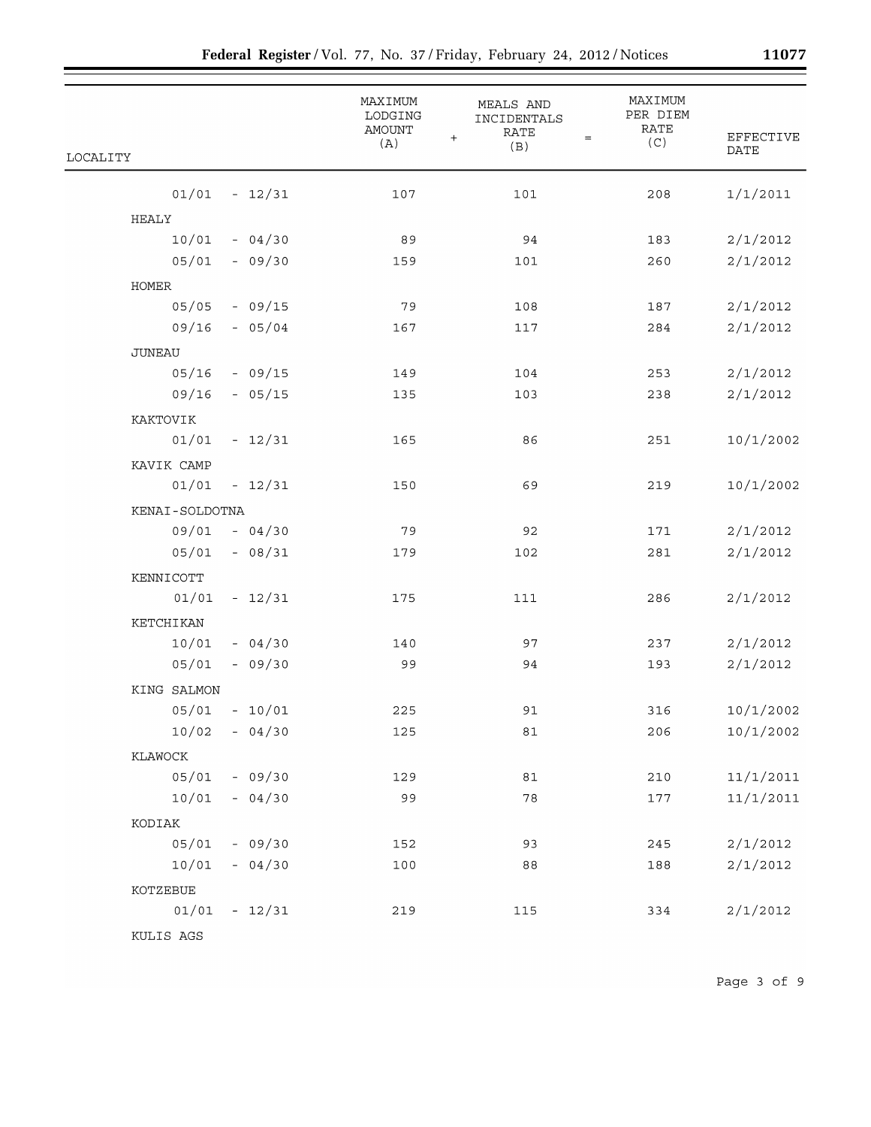|                   | MAXIMUM<br>LODGING<br><b>AMOUNT</b><br>(A) | MEALS AND<br>INCIDENTALS<br><b>RATE</b><br>$\ddot{}$<br>$\qquad \qquad =\qquad \qquad$ | MAXIMUM<br>PER DIEM<br>RATE<br>(C) | <b>EFFECTIVE</b> |
|-------------------|--------------------------------------------|----------------------------------------------------------------------------------------|------------------------------------|------------------|
| LOCALITY          |                                            | (B)                                                                                    |                                    | DATE             |
| 01/01<br>$-12/31$ | 107                                        | 101                                                                                    | 208                                | 1/1/2011         |
| HEALY             |                                            |                                                                                        |                                    |                  |
| 10/01<br>$-04/30$ | 89                                         | 94                                                                                     | 183                                | 2/1/2012         |
| 05/01<br>$-09/30$ | 159                                        | 101                                                                                    | 260                                | 2/1/2012         |
| HOMER             |                                            |                                                                                        |                                    |                  |
| 05/05<br>$-09/15$ | 79                                         | 108                                                                                    | 187                                | 2/1/2012         |
| 09/16<br>$-05/04$ | 167                                        | 117                                                                                    | 284                                | 2/1/2012         |
| JUNEAU            |                                            |                                                                                        |                                    |                  |
| 05/16<br>$-09/15$ | 149                                        | 104                                                                                    | 253                                | 2/1/2012         |
| 09/16<br>$-05/15$ | 135                                        | 103                                                                                    | 238                                | 2/1/2012         |
| KAKTOVIK          |                                            |                                                                                        |                                    |                  |
| $-12/31$<br>01/01 | 165                                        | 86                                                                                     | 251                                | 10/1/2002        |
| KAVIK CAMP        |                                            |                                                                                        |                                    |                  |
| 01/01<br>$-12/31$ | 150                                        | 69                                                                                     | 219                                | 10/1/2002        |
| KENAI-SOLDOTNA    |                                            |                                                                                        |                                    |                  |
| 09/01<br>$-04/30$ | 79                                         | 92                                                                                     | 171                                | 2/1/2012         |
| 05/01<br>$-08/31$ | 179                                        | 102                                                                                    | 281                                | 2/1/2012         |
| KENNICOTT         |                                            |                                                                                        |                                    |                  |
| 01/01<br>$-12/31$ | 175                                        | 111                                                                                    | 286                                | 2/1/2012         |
| KETCHIKAN         |                                            |                                                                                        |                                    |                  |
| 10/01<br>$-04/30$ | 140                                        | 97                                                                                     | 237                                | 2/1/2012         |
| 05/01<br>$-09/30$ | 99                                         | 94                                                                                     | 193                                | 2/1/2012         |
| KING SALMON       |                                            |                                                                                        |                                    |                  |
| 05/01<br>$-10/01$ | 225                                        | 91                                                                                     | 316                                | 10/1/2002        |
| $10/02 - 04/30$   | 125                                        | 81                                                                                     | 206                                | 10/1/2002        |
| KLAWOCK           |                                            |                                                                                        |                                    |                  |
| $05/01 - 09/30$   | 129                                        | 81                                                                                     | 210                                | 11/1/2011        |
| $10/01 - 04/30$   | 99                                         | 78                                                                                     | 177                                | 11/1/2011        |
| KODIAK            |                                            |                                                                                        |                                    |                  |
| $05/01 - 09/30$   | 152                                        | 93                                                                                     | 245                                | 2/1/2012         |
| $10/01 - 04/30$   | 100                                        | 88                                                                                     | 188                                | 2/1/2012         |
| KOTZEBUE          |                                            |                                                                                        |                                    |                  |
| $01/01 - 12/31$   | 219                                        | 115                                                                                    | 334                                | 2/1/2012         |
| KULIS AGS         |                                            |                                                                                        |                                    |                  |

Page 3 of 9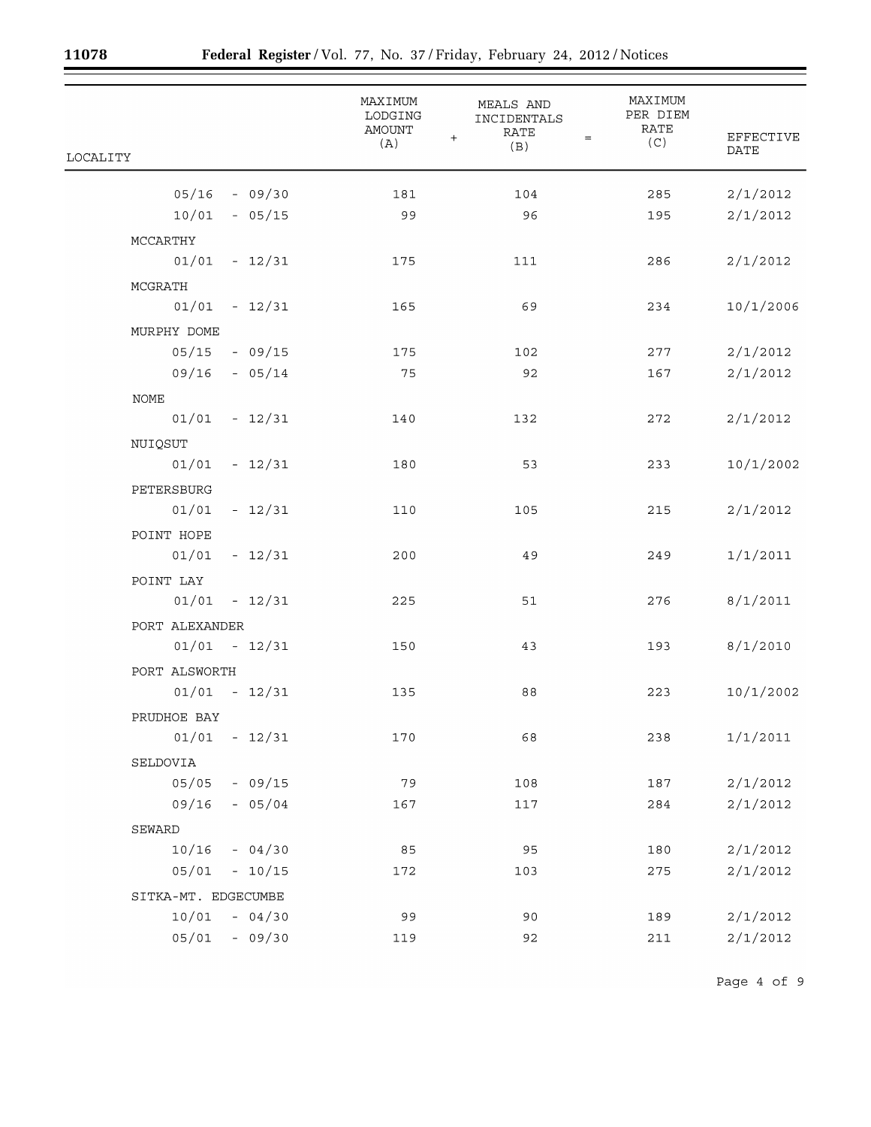Ξ

|                     | MAXIMUM<br>LODGING<br>AMOUNT | <b>MEALS AND</b><br>INCIDENTALS<br><b>RATE</b>     | MAXIMUM<br>PER DIEM<br>RATE |                                 |
|---------------------|------------------------------|----------------------------------------------------|-----------------------------|---------------------------------|
| LOCALITY            | (A)                          | $\ddot{}$<br>$\qquad \qquad =\qquad \qquad$<br>(B) | (C)                         | <b>EFFECTIVE</b><br><b>DATE</b> |
| $05/16 - 09/30$     | 181                          | 104                                                | 285                         | 2/1/2012                        |
| $10/01 - 05/15$     | 99                           | 96                                                 | 195                         | 2/1/2012                        |
| MCCARTHY            |                              |                                                    |                             |                                 |
| $01/01 - 12/31$     | 175                          | 111                                                | 286                         | 2/1/2012                        |
| MCGRATH             |                              |                                                    |                             |                                 |
| $01/01 - 12/31$     | 165                          | 69                                                 | 234                         | 10/1/2006                       |
| MURPHY DOME         |                              |                                                    |                             |                                 |
| $05/15 - 09/15$     | 175                          | 102                                                | 277                         | 2/1/2012                        |
| $09/16 - 05/14$     | 75                           | 92                                                 | 167                         | 2/1/2012                        |
| NOME                |                              |                                                    |                             |                                 |
| $01/01 - 12/31$     | 140                          | 132                                                | 272                         | 2/1/2012                        |
| NUIQSUT             |                              |                                                    |                             |                                 |
| $01/01 - 12/31$     | 180                          | 53                                                 | 233                         | 10/1/2002                       |
| PETERSBURG          |                              |                                                    |                             |                                 |
| $01/01 - 12/31$     | 110                          | 105                                                | 215                         | 2/1/2012                        |
| POINT HOPE          |                              |                                                    |                             |                                 |
| $01/01 - 12/31$     | 200                          | 49                                                 | 249                         | 1/1/2011                        |
| POINT LAY           |                              |                                                    |                             |                                 |
| $01/01 - 12/31$     | 225                          | 51                                                 | 276                         | 8/1/2011                        |
| PORT ALEXANDER      |                              |                                                    |                             |                                 |
| $01/01 - 12/31$     | 150                          | 43                                                 | 193                         | 8/1/2010                        |
| PORT ALSWORTH       |                              |                                                    |                             |                                 |
| $01/01 - 12/31$     | 135                          | 88                                                 | 223                         | 10/1/2002                       |
| PRUDHOE BAY         |                              |                                                    |                             |                                 |
| 01/01<br>$-12/31$   | 170                          | 68                                                 | 238                         | 1/1/2011                        |
| SELDOVIA            |                              |                                                    |                             |                                 |
| $-09/15$<br>05/05   | 79                           | 108                                                | 187                         | 2/1/2012                        |
| 09/16<br>$-05/04$   | 167                          | 117                                                | 284                         | 2/1/2012                        |
| SEWARD              |                              |                                                    |                             |                                 |
| 10/16<br>$-04/30$   | 85                           | 95                                                 | 180                         | 2/1/2012                        |
| 05/01<br>$-10/15$   | 172                          | 103                                                | 275                         | 2/1/2012                        |
| SITKA-MT. EDGECUMBE |                              |                                                    |                             |                                 |
| 10/01<br>$-04/30$   | 99                           | 90                                                 | 189                         | 2/1/2012                        |
| 05/01<br>$-09/30$   | 119                          | 92                                                 | 211                         | 2/1/2012                        |

Page 4 of 9

÷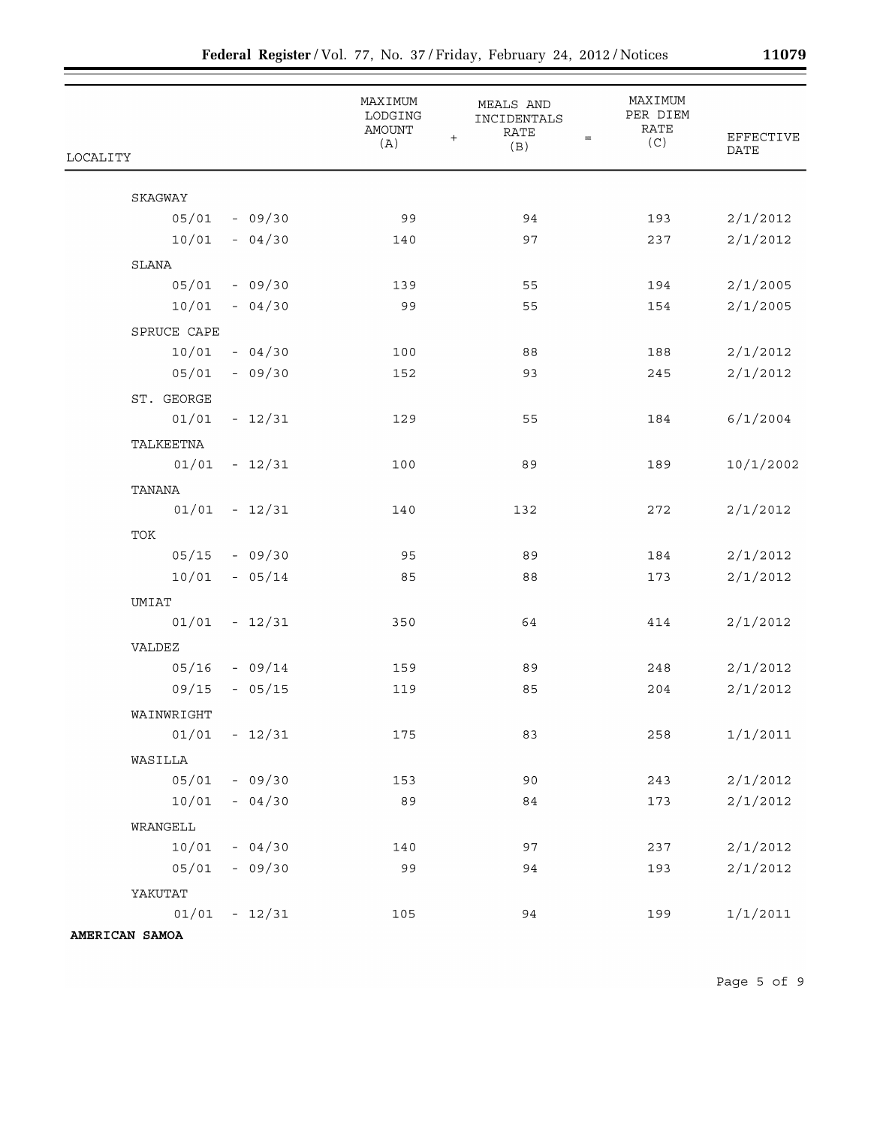|                   | MAXIMUM<br>LODGING<br>AMOUNT<br>(A) | MEALS AND<br>INCIDENTALS<br><b>RATE</b><br>$\ddot{}$<br>$\qquad \qquad =$<br>(B) | MAXIMUM<br>PER DIEM<br><b>RATE</b><br>(C) | <b>EFFECTIVE</b> |
|-------------------|-------------------------------------|----------------------------------------------------------------------------------|-------------------------------------------|------------------|
| <b>LOCALITY</b>   |                                     |                                                                                  |                                           | DATE             |
| SKAGWAY           |                                     |                                                                                  |                                           |                  |
| $05/01 - 09/30$   | 99                                  | 94                                                                               | 193                                       | 2/1/2012         |
| 10/01<br>$-04/30$ | 140                                 | 97                                                                               | 237                                       | 2/1/2012         |
| SLANA             |                                     |                                                                                  |                                           |                  |
| $05/01 - 09/30$   | 139                                 | 55                                                                               | 194                                       | 2/1/2005         |
| $10/01 - 04/30$   | 99                                  | 55                                                                               | 154                                       | 2/1/2005         |
| SPRUCE CAPE       |                                     |                                                                                  |                                           |                  |
| $10/01 - 04/30$   | 100                                 | 88                                                                               | 188                                       | 2/1/2012         |
| $05/01 - 09/30$   | 152                                 | 93                                                                               | 245                                       | 2/1/2012         |
| ST. GEORGE        |                                     |                                                                                  |                                           |                  |
| $01/01 - 12/31$   | 129                                 | 55                                                                               | 184                                       | 6/1/2004         |
| TALKEETNA         |                                     |                                                                                  |                                           |                  |
| $01/01 - 12/31$   | 100                                 | 89                                                                               | 189                                       | 10/1/2002        |
| TANANA            |                                     |                                                                                  |                                           |                  |
| $01/01 - 12/31$   | 140                                 | 132                                                                              | 272                                       | 2/1/2012         |
| TOK               |                                     |                                                                                  |                                           |                  |
| $05/15 - 09/30$   | 95                                  | 89                                                                               | 184                                       | 2/1/2012         |
| $10/01 - 05/14$   | 85                                  | 88                                                                               | 173                                       | 2/1/2012         |
| UMIAT             |                                     |                                                                                  |                                           |                  |
| $01/01 - 12/31$   | 350                                 | 64                                                                               | 414                                       | 2/1/2012         |
| VALDEZ            |                                     |                                                                                  |                                           |                  |
| $05/16 - 09/14$   | 159                                 | 89                                                                               | 248                                       | 2/1/2012         |
| 09/15<br>$-05/15$ | 119                                 | 85                                                                               | 204                                       | 2/1/2012         |
| WAINWRIGHT        |                                     |                                                                                  |                                           |                  |
| $01/01 - 12/31$   | 175                                 | 83                                                                               | 258                                       | 1/1/2011         |
| WASILLA           |                                     |                                                                                  |                                           |                  |
| $05/01 - 09/30$   | 153                                 | 90                                                                               | 243                                       | 2/1/2012         |
| $10/01 - 04/30$   | 89                                  | 84                                                                               | 173                                       | 2/1/2012         |
| WRANGELL          |                                     |                                                                                  |                                           |                  |
| $10/01 - 04/30$   | 140                                 | 97                                                                               | 237                                       | 2/1/2012         |
| $05/01 - 09/30$   | 99                                  | 94                                                                               | 193                                       | 2/1/2012         |
| YAKUTAT           |                                     |                                                                                  |                                           |                  |
| $01/01 - 12/31$   | 105                                 | 94                                                                               | 199                                       | 1/1/2011         |
| AMERICAN SAMOA    |                                     |                                                                                  |                                           |                  |

Page 5 of 9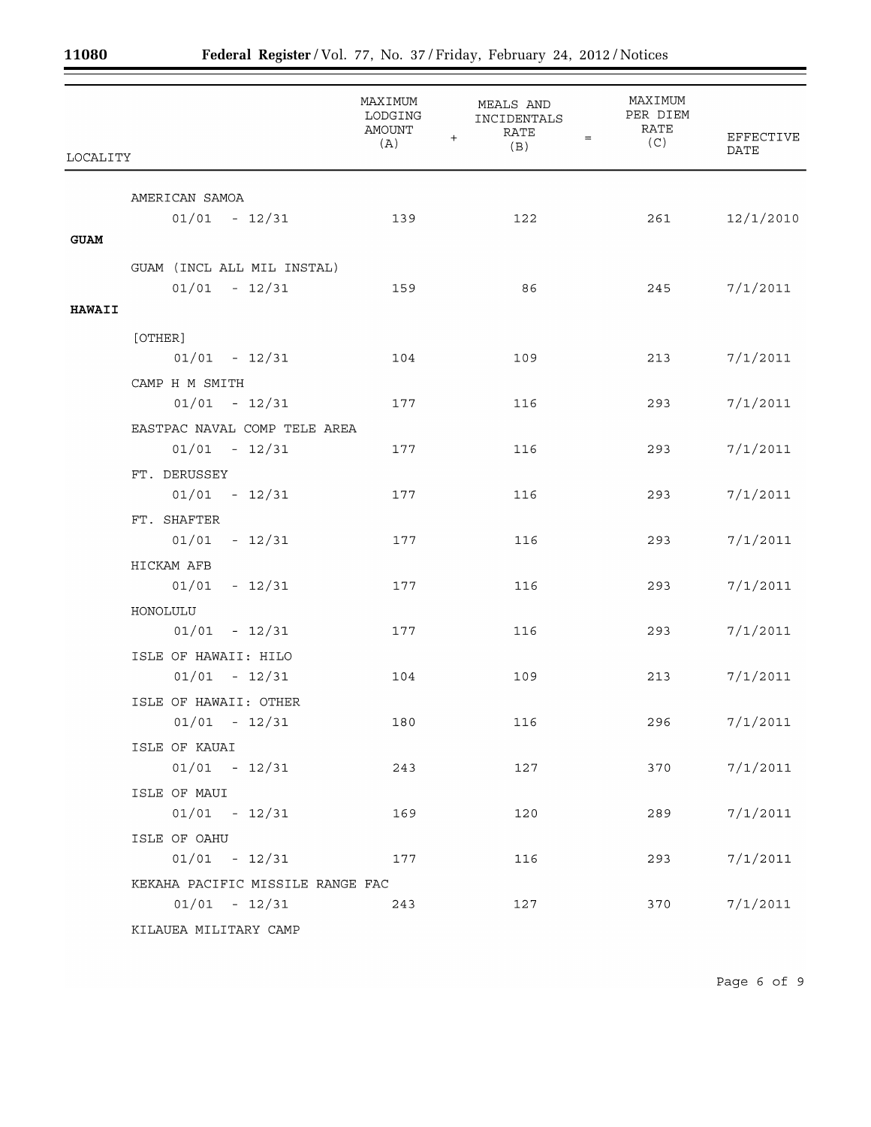$\equiv$ 

| LOCALITY      |                                  | MAXIMUM<br>LODGING<br>AMOUNT<br>(A) | MEALS AND<br>INCIDENTALS<br><b>RATE</b><br>$\ddot{}$<br>$=$<br>(B) | MAXIMUM<br>PER DIEM<br>RATE<br>(C) | EFFECTIVE<br>DATE |
|---------------|----------------------------------|-------------------------------------|--------------------------------------------------------------------|------------------------------------|-------------------|
|               | AMERICAN SAMOA                   |                                     |                                                                    |                                    |                   |
|               | $01/01 - 12/31$                  | 139                                 | 122                                                                | 261                                | 12/1/2010         |
| <b>GUAM</b>   |                                  |                                     |                                                                    |                                    |                   |
|               | GUAM (INCL ALL MIL INSTAL)       |                                     |                                                                    |                                    |                   |
|               | $01/01 - 12/31$                  | 159                                 | 86                                                                 | 245                                | 7/1/2011          |
| <b>HAWAII</b> |                                  |                                     |                                                                    |                                    |                   |
|               | [OTHER]                          |                                     |                                                                    |                                    |                   |
|               | $01/01 - 12/31$                  | 104                                 | 109                                                                | 213                                | 7/1/2011          |
|               | CAMP H M SMITH                   |                                     |                                                                    |                                    |                   |
|               | $01/01 - 12/31$                  | 177                                 | 116                                                                | 293                                | 7/1/2011          |
|               | EASTPAC NAVAL COMP TELE AREA     |                                     |                                                                    |                                    |                   |
|               | $01/01 - 12/31$                  | 177                                 | 116                                                                | 293                                | 7/1/2011          |
|               | FT. DERUSSEY                     |                                     |                                                                    |                                    |                   |
|               | $01/01 - 12/31$                  | 177                                 | 116                                                                | 293                                | 7/1/2011          |
|               | FT. SHAFTER                      |                                     |                                                                    |                                    |                   |
|               | $01/01 - 12/31$                  | 177                                 | 116                                                                | 293                                | 7/1/2011          |
|               | HICKAM AFB                       |                                     |                                                                    |                                    |                   |
|               | $01/01 - 12/31$                  | 177                                 | 116                                                                | 293                                | 7/1/2011          |
|               | HONOLULU                         |                                     |                                                                    |                                    |                   |
|               | $01/01 - 12/31$                  | 177                                 | 116                                                                | 293                                | 7/1/2011          |
|               | ISLE OF HAWAII: HILO             |                                     |                                                                    |                                    |                   |
|               | $01/01 - 12/31$                  | 104                                 | 109                                                                | 213                                | 7/1/2011          |
|               | ISLE OF HAWAII: OTHER            |                                     |                                                                    |                                    |                   |
|               | $01/01$ - $12/31$                | 180                                 | 116                                                                | 296                                | 7/1/2011          |
|               | ISLE OF KAUAI                    |                                     |                                                                    |                                    |                   |
|               | $01/01 - 12/31$                  | 243                                 | 127                                                                | 370                                | 7/1/2011          |
|               | ISLE OF MAUI                     |                                     |                                                                    |                                    |                   |
|               | $01/01 - 12/31$                  | 169                                 | 120                                                                | 289                                | 7/1/2011          |
|               | ISLE OF OAHU                     |                                     |                                                                    |                                    |                   |
|               | $01/01 - 12/31$                  | 177                                 | 116                                                                | 293                                | 7/1/2011          |
|               | KEKAHA PACIFIC MISSILE RANGE FAC |                                     |                                                                    |                                    |                   |
|               | $01/01 - 12/31$                  | 243                                 | 127                                                                | 370                                | 7/1/2011          |
|               | KILAUEA MILITARY CAMP            |                                     |                                                                    |                                    |                   |

÷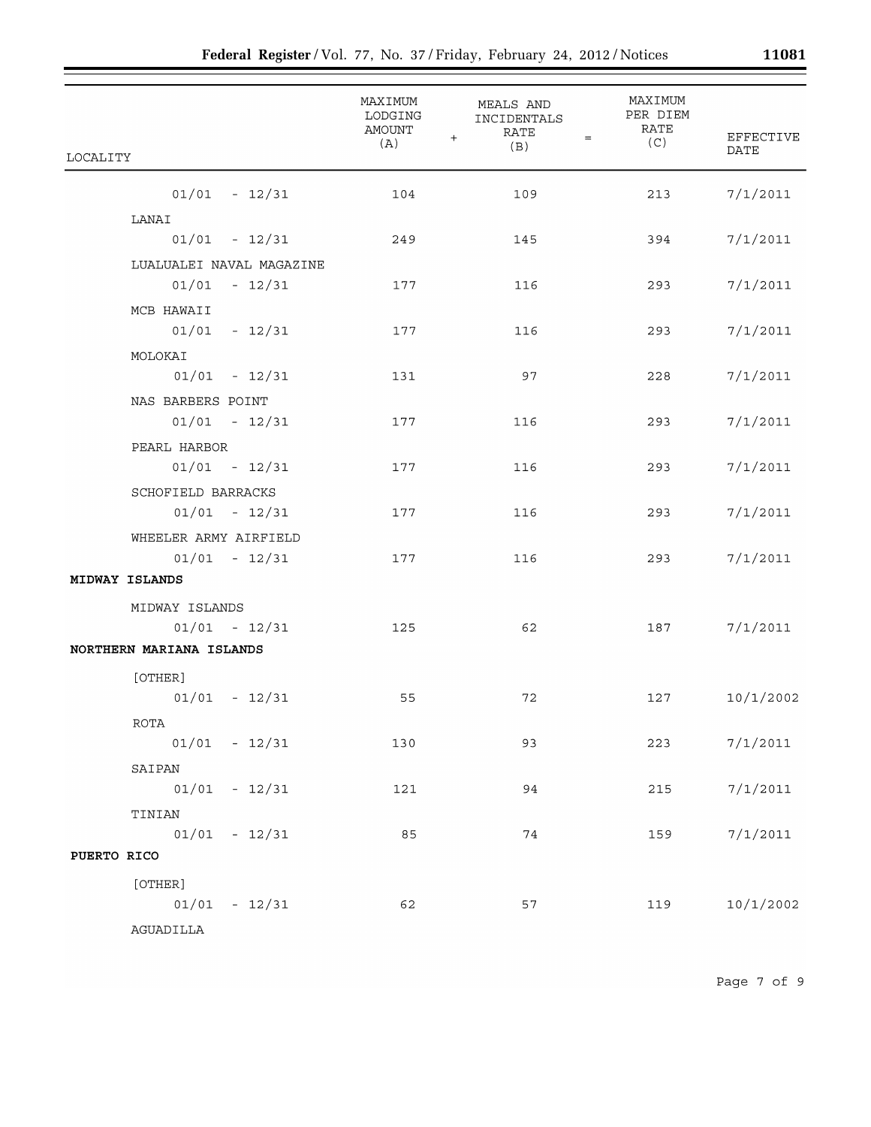|                          | MAXIMUM<br>LODGING<br>AMOUNT<br>(A) | MEALS AND<br>INCIDENTALS<br>RATE<br>$\ddot{}$<br>$=$<br>(B) | MAXIMUM<br>PER DIEM<br>RATE<br>(C) | <b>EFFECTIVE</b><br><b>DATE</b> |
|--------------------------|-------------------------------------|-------------------------------------------------------------|------------------------------------|---------------------------------|
| LOCALITY                 |                                     |                                                             |                                    |                                 |
| $01/01 - 12/31$          | 104                                 | 109                                                         | 213                                | 7/1/2011                        |
| LANAI                    |                                     |                                                             |                                    |                                 |
| $01/01 - 12/31$          | 249                                 | 145                                                         | 394                                | 7/1/2011                        |
| LUALUALEI NAVAL MAGAZINE |                                     |                                                             |                                    |                                 |
| $01/01 - 12/31$          | 177                                 | 116                                                         | 293                                | 7/1/2011                        |
| MCB HAWAII               |                                     |                                                             |                                    |                                 |
| $01/01 - 12/31$          | 177                                 | 116                                                         | 293                                | 7/1/2011                        |
| MOLOKAI                  |                                     |                                                             |                                    |                                 |
| $01/01 - 12/31$          | 131                                 | 97                                                          | 228                                | 7/1/2011                        |
| NAS BARBERS POINT        |                                     |                                                             |                                    |                                 |
| $01/01 - 12/31$          | 177                                 | 116                                                         | 293                                | 7/1/2011                        |
| PEARL HARBOR             |                                     |                                                             |                                    |                                 |
| $01/01 - 12/31$          | 177                                 | 116                                                         | 293                                | 7/1/2011                        |
| SCHOFIELD BARRACKS       |                                     |                                                             |                                    |                                 |
| $01/01 - 12/31$          | 177                                 | 116                                                         | 293                                | 7/1/2011                        |
| WHEELER ARMY AIRFIELD    |                                     |                                                             |                                    |                                 |
| $01/01 - 12/31$          | 177                                 | 116                                                         | 293                                | 7/1/2011                        |
| MIDWAY ISLANDS           |                                     |                                                             |                                    |                                 |
| MIDWAY ISLANDS           |                                     |                                                             |                                    |                                 |
| $01/01 - 12/31$          | 125                                 | 62                                                          | 187                                | 7/1/2011                        |
| NORTHERN MARIANA ISLANDS |                                     |                                                             |                                    |                                 |
| [OTHER]                  |                                     |                                                             |                                    |                                 |
| $01/01 - 12/31$          | 55                                  | 72                                                          | 127                                | 10/1/2002                       |
| ROTA                     |                                     |                                                             |                                    |                                 |
| $01/01 - 12/31$          | 130                                 | 93                                                          | 223                                | 7/1/2011                        |
| SAIPAN                   |                                     |                                                             |                                    |                                 |
| $01/01 - 12/31$          | 121                                 | 94                                                          | 215                                | 7/1/2011                        |
| TINIAN                   |                                     |                                                             |                                    |                                 |
| $01/01 - 12/31$          | 85                                  | 74                                                          | 159                                | 7/1/2011                        |
| PUERTO RICO              |                                     |                                                             |                                    |                                 |
| [OTHER]                  |                                     |                                                             |                                    |                                 |
| $01/01 - 12/31$          | 62                                  | 57                                                          | 119                                | 10/1/2002                       |
| AGUADILLA                |                                     |                                                             |                                    |                                 |

Page 7 of 9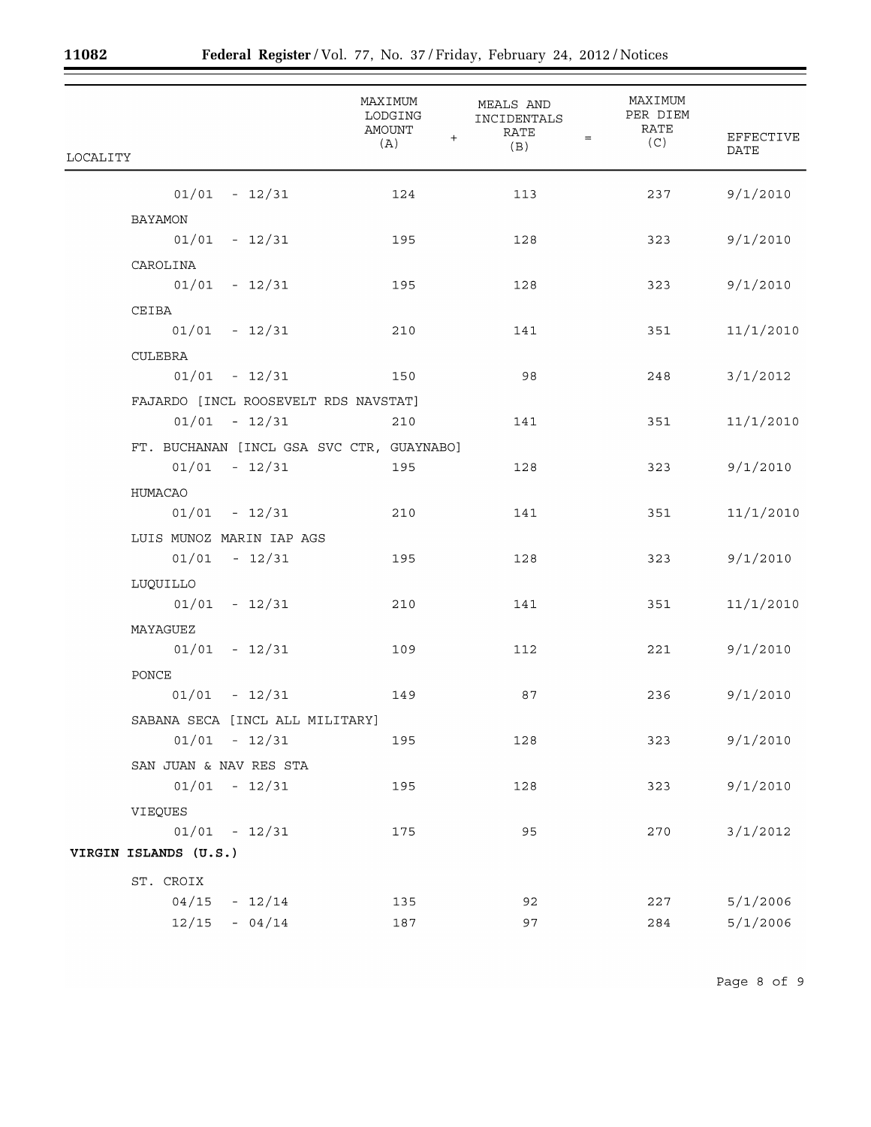$\equiv$ 

| LOCALITY                                  | MAXIMUM<br>LODGING<br>AMOUNT<br>$+$<br>(A) | MEALS AND<br>INCIDENTALS<br><b>RATE</b><br>$=$<br>(B) | MAXIMUM<br>PER DIEM<br>RATE<br>(C) | <b>EFFECTIVE</b><br><b>DATE</b> |
|-------------------------------------------|--------------------------------------------|-------------------------------------------------------|------------------------------------|---------------------------------|
| $01/01 - 12/31$                           | 124                                        | 113                                                   | 237                                | 9/1/2010                        |
| BAYAMON                                   |                                            |                                                       |                                    |                                 |
| $01/01 - 12/31$                           | 195                                        | 128                                                   | 323                                | 9/1/2010                        |
| CAROLINA                                  |                                            |                                                       |                                    |                                 |
| $01/01 - 12/31$                           | 195                                        | 128                                                   | 323                                | 9/1/2010                        |
| CEIBA                                     |                                            |                                                       |                                    |                                 |
| $01/01 - 12/31$                           | 210                                        | 141                                                   | 351                                | 11/1/2010                       |
| CULEBRA                                   |                                            |                                                       |                                    |                                 |
| $01/01 - 12/31$                           | 150                                        | 98                                                    | 248                                | 3/1/2012                        |
| FAJARDO [INCL ROOSEVELT RDS NAVSTAT]      |                                            |                                                       |                                    |                                 |
| $01/01 - 12/31$                           | 210                                        | 141                                                   | 351                                | 11/1/2010                       |
| FT. BUCHANAN [INCL GSA SVC CTR, GUAYNABO] |                                            |                                                       |                                    |                                 |
| $01/01 - 12/31$                           | 195                                        | 128                                                   | 323                                | 9/1/2010                        |
| HUMACAO                                   |                                            |                                                       |                                    |                                 |
| $01/01 - 12/31$                           | 210                                        | 141                                                   | 351                                | 11/1/2010                       |
| LUIS MUNOZ MARIN IAP AGS                  |                                            |                                                       |                                    |                                 |
| $01/01 - 12/31$                           | 195                                        | 128                                                   | 323                                | 9/1/2010                        |
| LUQUILLO                                  |                                            |                                                       |                                    |                                 |
| $01/01 - 12/31$                           | 210                                        | 141                                                   | 351                                | 11/1/2010                       |
| MAYAGUEZ                                  |                                            |                                                       |                                    |                                 |
| $01/01 - 12/31$                           | 109                                        | 112                                                   | 221                                | 9/1/2010                        |
| PONCE                                     |                                            |                                                       |                                    |                                 |
| $01/01$ - $12/31$                         | 149                                        | 87                                                    | 236                                | 9/1/2010                        |
| SABANA SECA [INCL ALL MILITARY]           |                                            |                                                       |                                    |                                 |
| $01/01 - 12/31$                           | 195                                        | 128                                                   | 323                                | 9/1/2010                        |
| SAN JUAN & NAV RES STA                    |                                            |                                                       |                                    |                                 |
| $01/01 - 12/31$                           | 195                                        | 128                                                   | 323                                | 9/1/2010                        |
| VIEQUES                                   |                                            |                                                       |                                    |                                 |
| $01/01 - 12/31$                           | 175                                        | 95                                                    | 270                                | 3/1/2012                        |
| VIRGIN ISLANDS (U.S.)                     |                                            |                                                       |                                    |                                 |
| ST. CROIX                                 |                                            |                                                       |                                    |                                 |
| 04/15<br>$-12/14$                         | 135                                        | 92                                                    | 227                                | 5/1/2006                        |
| $12/15 - 04/14$                           | 187                                        | 97                                                    | 284                                | 5/1/2006                        |

Ξ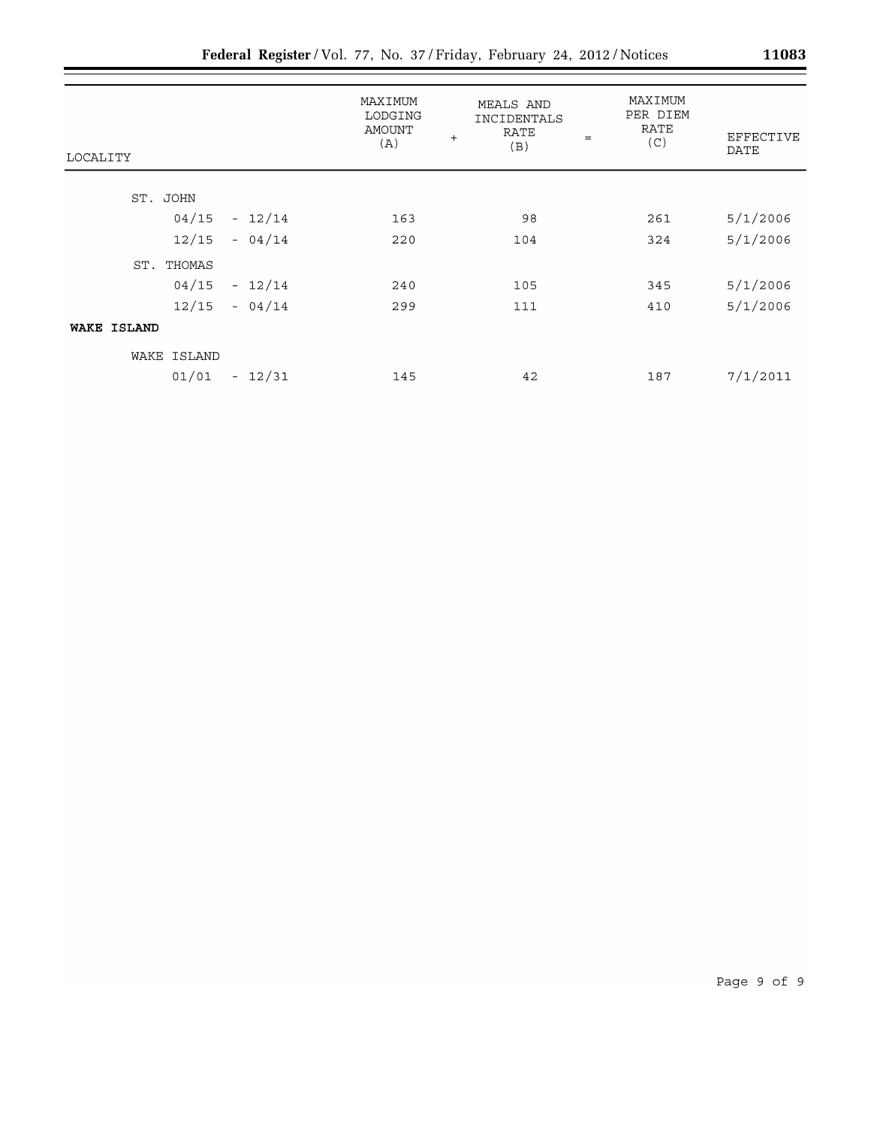| LOCALITY           | MAXIMUM<br>LODGING<br>AMOUNT<br>(A) | <b>MEALS AND</b><br><b>INCIDENTALS</b><br>RATE<br>$+$<br>(B) | MAXIMUM<br>PER DIEM<br>RATE<br>$=$<br>(C) | EFFECTIVE<br>DATE |
|--------------------|-------------------------------------|--------------------------------------------------------------|-------------------------------------------|-------------------|
|                    |                                     |                                                              |                                           |                   |
| ST. JOHN           |                                     |                                                              |                                           |                   |
| $04/15 - 12/14$    | 163                                 | 98                                                           | 261                                       | 5/1/2006          |
| $12/15 - 04/14$    | 220                                 | 104                                                          | 324                                       | 5/1/2006          |
| ST.<br>THOMAS      |                                     |                                                              |                                           |                   |
| $04/15 - 12/14$    | 240                                 | 105                                                          | 345                                       | 5/1/2006          |
| $12/15 - 04/14$    | 299                                 | 111                                                          | 410                                       | 5/1/2006          |
| <b>WAKE ISLAND</b> |                                     |                                                              |                                           |                   |
| WAKE ISLAND        |                                     |                                                              |                                           |                   |
| $01/01 - 12/31$    | 145                                 | 42                                                           | 187                                       | 7/1/2011          |